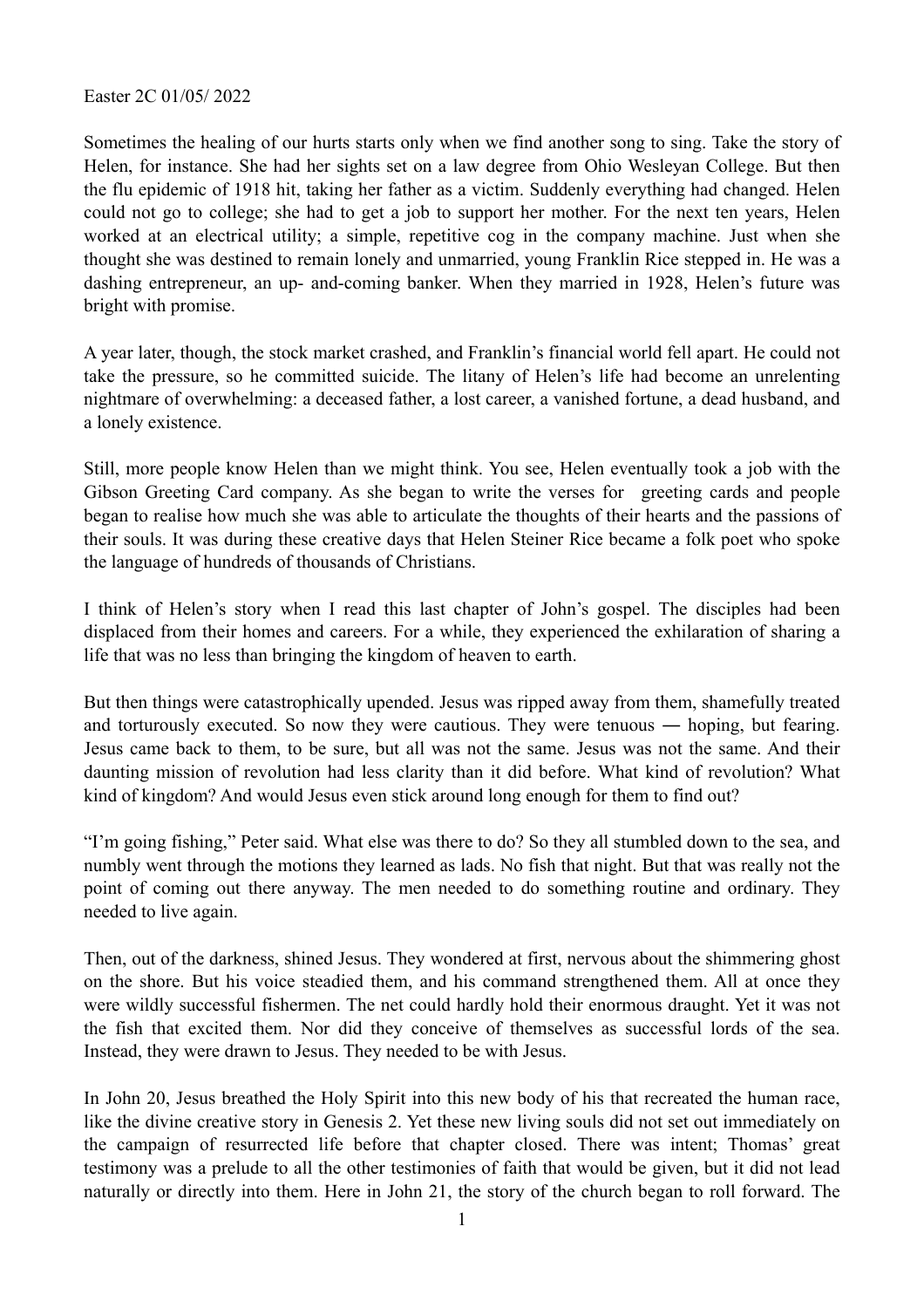Easter 2C 01/05/ 2022

Sometimes the healing of our hurts starts only when we find another song to sing. Take the story of Helen, for instance. She had her sights set on a law degree from Ohio Wesleyan College. But then the flu epidemic of 1918 hit, taking her father as a victim. Suddenly everything had changed. Helen could not go to college; she had to get a job to support her mother. For the next ten years, Helen worked at an electrical utility; a simple, repetitive cog in the company machine. Just when she thought she was destined to remain lonely and unmarried, young Franklin Rice stepped in. He was a dashing entrepreneur, an up- and-coming banker. When they married in 1928, Helen's future was bright with promise.

A year later, though, the stock market crashed, and Franklin's financial world fell apart. He could not take the pressure, so he committed suicide. The litany of Helen's life had become an unrelenting nightmare of overwhelming: a deceased father, a lost career, a vanished fortune, a dead husband, and a lonely existence.

Still, more people know Helen than we might think. You see, Helen eventually took a job with the Gibson Greeting Card company. As she began to write the verses for greeting cards and people began to realise how much she was able to articulate the thoughts of their hearts and the passions of their souls. It was during these creative days that Helen Steiner Rice became a folk poet who spoke the language of hundreds of thousands of Christians.

I think of Helen's story when I read this last chapter of John's gospel. The disciples had been displaced from their homes and careers. For a while, they experienced the exhilaration of sharing a life that was no less than bringing the kingdom of heaven to earth.

But then things were catastrophically upended. Jesus was ripped away from them, shamefully treated and torturously executed. So now they were cautious. They were tenuous ― hoping, but fearing. Jesus came back to them, to be sure, but all was not the same. Jesus was not the same. And their daunting mission of revolution had less clarity than it did before. What kind of revolution? What kind of kingdom? And would Jesus even stick around long enough for them to find out?

"I'm going fishing," Peter said. What else was there to do? So they all stumbled down to the sea, and numbly went through the motions they learned as lads. No fish that night. But that was really not the point of coming out there anyway. The men needed to do something routine and ordinary. They needed to live again.

Then, out of the darkness, shined Jesus. They wondered at first, nervous about the shimmering ghost on the shore. But his voice steadied them, and his command strengthened them. All at once they were wildly successful fishermen. The net could hardly hold their enormous draught. Yet it was not the fish that excited them. Nor did they conceive of themselves as successful lords of the sea. Instead, they were drawn to Jesus. They needed to be with Jesus.

In John 20, Jesus breathed the Holy Spirit into this new body of his that recreated the human race, like the divine creative story in Genesis 2. Yet these new living souls did not set out immediately on the campaign of resurrected life before that chapter closed. There was intent; Thomas' great testimony was a prelude to all the other testimonies of faith that would be given, but it did not lead naturally or directly into them. Here in John 21, the story of the church began to roll forward. The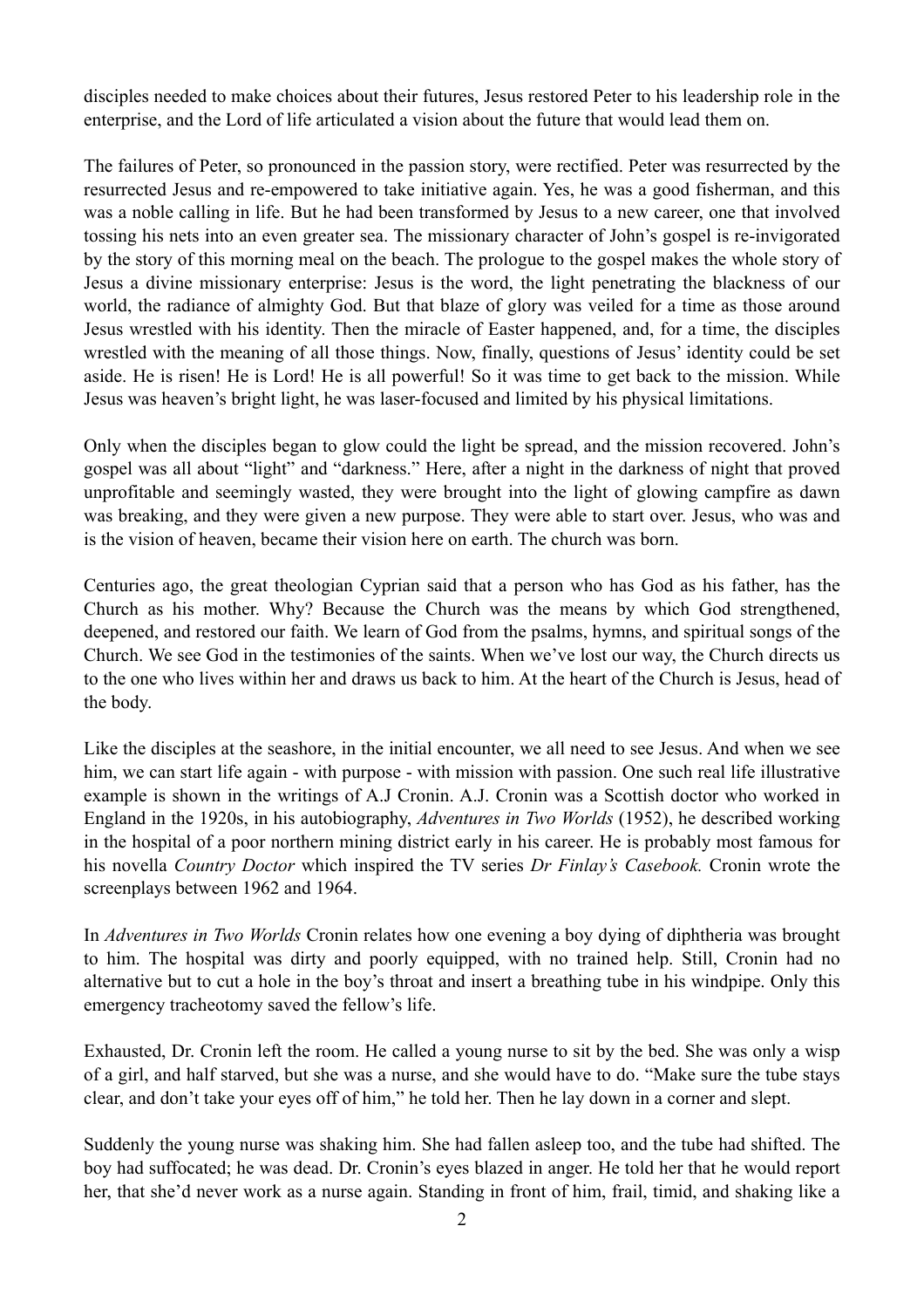disciples needed to make choices about their futures, Jesus restored Peter to his leadership role in the enterprise, and the Lord of life articulated a vision about the future that would lead them on.

The failures of Peter, so pronounced in the passion story, were rectified. Peter was resurrected by the resurrected Jesus and re-empowered to take initiative again. Yes, he was a good fisherman, and this was a noble calling in life. But he had been transformed by Jesus to a new career, one that involved tossing his nets into an even greater sea. The missionary character of John's gospel is re-invigorated by the story of this morning meal on the beach. The prologue to the gospel makes the whole story of Jesus a divine missionary enterprise: Jesus is the word, the light penetrating the blackness of our world, the radiance of almighty God. But that blaze of glory was veiled for a time as those around Jesus wrestled with his identity. Then the miracle of Easter happened, and, for a time, the disciples wrestled with the meaning of all those things. Now, finally, questions of Jesus' identity could be set aside. He is risen! He is Lord! He is all powerful! So it was time to get back to the mission. While Jesus was heaven's bright light, he was laser-focused and limited by his physical limitations.

Only when the disciples began to glow could the light be spread, and the mission recovered. John's gospel was all about "light" and "darkness." Here, after a night in the darkness of night that proved unprofitable and seemingly wasted, they were brought into the light of glowing campfire as dawn was breaking, and they were given a new purpose. They were able to start over. Jesus, who was and is the vision of heaven, became their vision here on earth. The church was born.

Centuries ago, the great theologian Cyprian said that a person who has God as his father, has the Church as his mother. Why? Because the Church was the means by which God strengthened, deepened, and restored our faith. We learn of God from the psalms, hymns, and spiritual songs of the Church. We see God in the testimonies of the saints. When we've lost our way, the Church directs us to the one who lives within her and draws us back to him. At the heart of the Church is Jesus, head of the body.

Like the disciples at the seashore, in the initial encounter, we all need to see Jesus. And when we see him, we can start life again - with purpose - with mission with passion. One such real life illustrative example is shown in the writings of A.J Cronin. A.J. Cronin was a Scottish doctor who worked in England in the 1920s, in his autobiography, *Adventures in Two Worlds* (1952), he described working in the hospital of a poor northern mining district early in his career. He is probably most famous for his novella *Country Doctor* which inspired the TV series *Dr Finlay's Casebook.* Cronin wrote the screenplays between 1962 and 1964.

In *Adventures in Two Worlds* Cronin relates how one evening a boy dying of diphtheria was brought to him. The hospital was dirty and poorly equipped, with no trained help. Still, Cronin had no alternative but to cut a hole in the boy's throat and insert a breathing tube in his windpipe. Only this emergency tracheotomy saved the fellow's life.

Exhausted, Dr. Cronin left the room. He called a young nurse to sit by the bed. She was only a wisp of a girl, and half starved, but she was a nurse, and she would have to do. "Make sure the tube stays clear, and don't take your eyes off of him," he told her. Then he lay down in a corner and slept.

Suddenly the young nurse was shaking him. She had fallen asleep too, and the tube had shifted. The boy had suffocated; he was dead. Dr. Cronin's eyes blazed in anger. He told her that he would report her, that she'd never work as a nurse again. Standing in front of him, frail, timid, and shaking like a